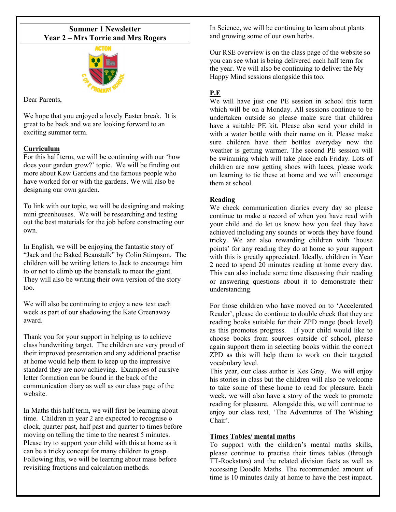# **Summer 1 Newsletter Year 2 – Mrs Torrie and Mrs Rogers**



Dear Parents,

We hope that you enjoyed a lovely Easter break. It is great to be back and we are looking forward to an exciting summer term.

## **Curriculum**

For this half term, we will be continuing with our 'how does your garden grow?' topic. We will be finding out more about Kew Gardens and the famous people who have worked for or with the gardens. We will also be designing our own garden.

To link with our topic, we will be designing and making mini greenhouses. We will be researching and testing out the best materials for the job before constructing our own.

In English, we will be enjoying the fantastic story of "Jack and the Baked Beanstalk" by Colin Stimpson. The children will be writing letters to Jack to encourage him to or not to climb up the beanstalk to meet the giant. They will also be writing their own version of the story too.

We will also be continuing to enjoy a new text each week as part of our shadowing the Kate Greenaway award.

Thank you for your support in helping us to achieve class handwriting target. The children are very proud of their improved presentation and any additional practise at home would help them to keep up the impressive standard they are now achieving. Examples of cursive letter formation can be found in the back of the communication diary as well as our class page of the website.

In Maths this half term, we will first be learning about time. Children in year 2 are expected to recognise o clock, quarter past, half past and quarter to times before moving on telling the time to the nearest 5 minutes. Please try to support your child with this at home as it can be a tricky concept for many children to grasp. Following this, we will be learning about mass before revisiting fractions and calculation methods.

In Science, we will be continuing to learn about plants and growing some of our own herbs.

Our RSE overview is on the class page of the website so you can see what is being delivered each half term for the year. We will also be continuing to deliver the My Happy Mind sessions alongside this too.

# **P.E**

We will have just one PE session in school this term which will be on a Monday. All sessions continue to be undertaken outside so please make sure that children have a suitable PE kit. Please also send your child in with a water bottle with their name on it. Please make sure children have their bottles everyday now the weather is getting warmer. The second PE session will be swimming which will take place each Friday. Lots of children are now getting shoes with laces, please work on learning to tie these at home and we will encourage them at school.

## **Reading**

We check communication diaries every day so please continue to make a record of when you have read with your child and do let us know how you feel they have achieved including any sounds or words they have found tricky. We are also rewarding children with 'house points' for any reading they do at home so your support with this is greatly appreciated. Ideally, children in Year 2 need to spend 20 minutes reading at home every day. This can also include some time discussing their reading or answering questions about it to demonstrate their understanding.

For those children who have moved on to 'Accelerated Reader', please do continue to double check that they are reading books suitable for their ZPD range (book level) as this promotes progress. If your child would like to choose books from sources outside of school, please again support them in selecting books within the correct ZPD as this will help them to work on their targeted vocabulary level.

This year, our class author is Kes Gray. We will enjoy his stories in class but the children will also be welcome to take some of these home to read for pleasure. Each week, we will also have a story of the week to promote reading for pleasure. Alongside this, we will continue to enjoy our class text, 'The Adventures of The Wishing Chair'.

### **Times Tables/ mental maths**

To support with the children's mental maths skills, please continue to practise their times tables (through TT-Rockstars) and the related division facts as well as accessing Doodle Maths. The recommended amount of time is 10 minutes daily at home to have the best impact.